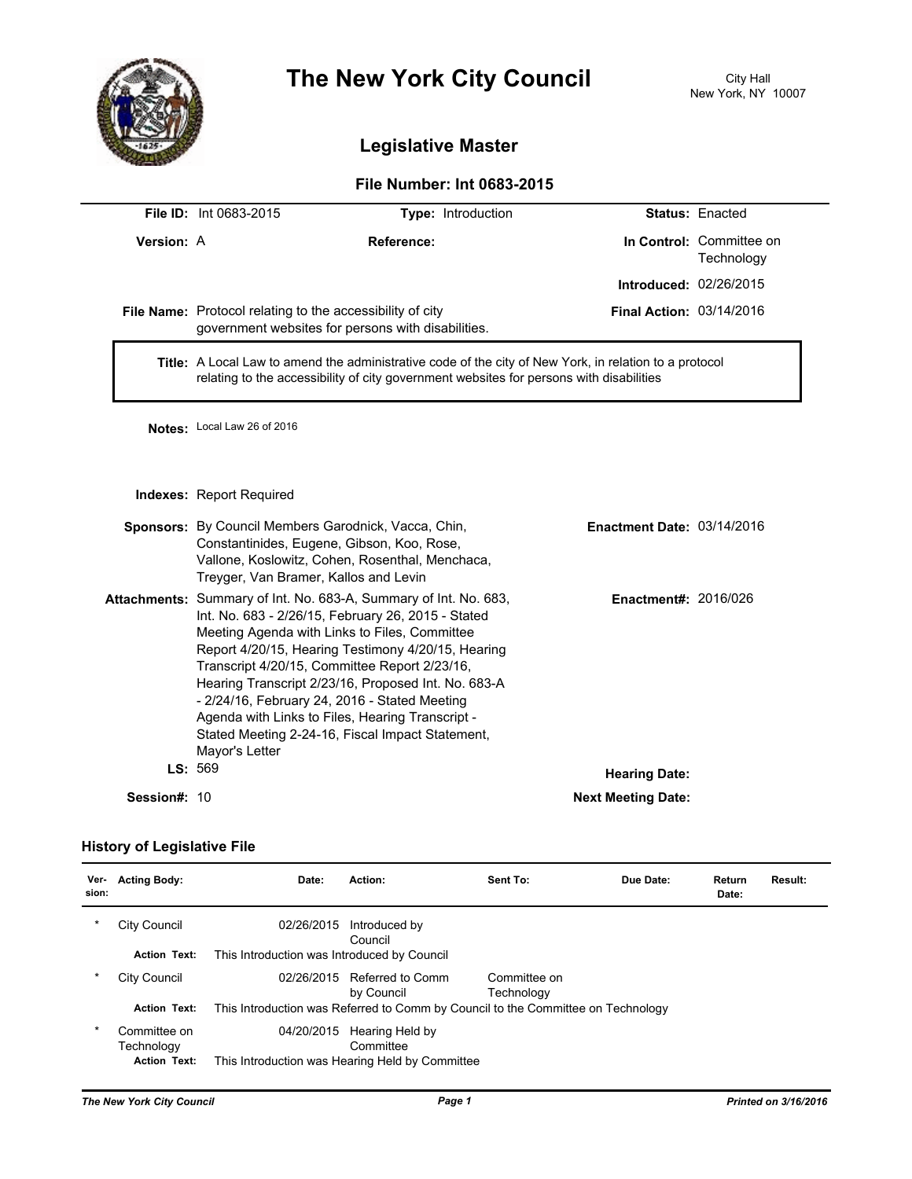

# **The New York City Council**

## **Legislative Master**

### **File Number: Int 0683-2015**

|                     | <b>File ID: Int 0683-2015</b>                                                                                                                                                                                                       | Type: Introduction                                                                                                                                                                                                                                                                      |                                 | <b>Status: Enacted</b>                 |  |  |
|---------------------|-------------------------------------------------------------------------------------------------------------------------------------------------------------------------------------------------------------------------------------|-----------------------------------------------------------------------------------------------------------------------------------------------------------------------------------------------------------------------------------------------------------------------------------------|---------------------------------|----------------------------------------|--|--|
| Version: A          | Reference:                                                                                                                                                                                                                          |                                                                                                                                                                                                                                                                                         |                                 | In Control: Committee on<br>Technology |  |  |
|                     |                                                                                                                                                                                                                                     |                                                                                                                                                                                                                                                                                         | <b>Introduced: 02/26/2015</b>   |                                        |  |  |
|                     | File Name: Protocol relating to the accessibility of city                                                                                                                                                                           | government websites for persons with disabilities.                                                                                                                                                                                                                                      | <b>Final Action: 03/14/2016</b> |                                        |  |  |
|                     | Title: A Local Law to amend the administrative code of the city of New York, in relation to a protocol<br>relating to the accessibility of city government websites for persons with disabilities                                   |                                                                                                                                                                                                                                                                                         |                                 |                                        |  |  |
|                     | Notes: Local Law 26 of 2016                                                                                                                                                                                                         |                                                                                                                                                                                                                                                                                         |                                 |                                        |  |  |
|                     | Indexes: Report Required                                                                                                                                                                                                            |                                                                                                                                                                                                                                                                                         |                                 |                                        |  |  |
|                     | Sponsors: By Council Members Garodnick, Vacca, Chin,<br><b>Enactment Date: 03/14/2016</b><br>Constantinides, Eugene, Gibson, Koo, Rose,<br>Vallone, Koslowitz, Cohen, Rosenthal, Menchaca,<br>Treyger, Van Bramer, Kallos and Levin |                                                                                                                                                                                                                                                                                         |                                 |                                        |  |  |
|                     | Meeting Agenda with Links to Files, Committee<br>Transcript 4/20/15, Committee Report 2/23/16,<br>- 2/24/16, February 24, 2016 - Stated Meeting<br>Agenda with Links to Files, Hearing Transcript -<br>Mayor's Letter               | Attachments: Summary of Int. No. 683-A, Summary of Int. No. 683,<br>Int. No. 683 - 2/26/15, February 26, 2015 - Stated<br>Report 4/20/15, Hearing Testimony 4/20/15, Hearing<br>Hearing Transcript 2/23/16, Proposed Int. No. 683-A<br>Stated Meeting 2-24-16, Fiscal Impact Statement, | <b>Enactment#: 2016/026</b>     |                                        |  |  |
|                     | LS: 569                                                                                                                                                                                                                             |                                                                                                                                                                                                                                                                                         | <b>Hearing Date:</b>            |                                        |  |  |
| <b>Session#: 10</b> |                                                                                                                                                                                                                                     |                                                                                                                                                                                                                                                                                         | <b>Next Meeting Date:</b>       |                                        |  |  |

#### **History of Legislative File**

| Ver-<br>sion: | <b>Acting Body:</b>                               | Date:                                       | Action:                                                                          | Sent To:                   | Due Date: | Return<br>Date: | Result: |
|---------------|---------------------------------------------------|---------------------------------------------|----------------------------------------------------------------------------------|----------------------------|-----------|-----------------|---------|
| $\star$       | City Council                                      | 02/26/2015                                  | Introduced by<br>Council                                                         |                            |           |                 |         |
|               | <b>Action Text:</b>                               | This Introduction was Introduced by Council |                                                                                  |                            |           |                 |         |
| *             | City Council                                      | 02/26/2015                                  | Referred to Comm<br>by Council                                                   | Committee on<br>Technology |           |                 |         |
|               | <b>Action Text:</b>                               |                                             | This Introduction was Referred to Comm by Council to the Committee on Technology |                            |           |                 |         |
| $\ast$        | Committee on<br>Technology<br><b>Action Text:</b> | 04/20/2015                                  | Hearing Held by<br>Committee<br>This Introduction was Hearing Held by Committee  |                            |           |                 |         |